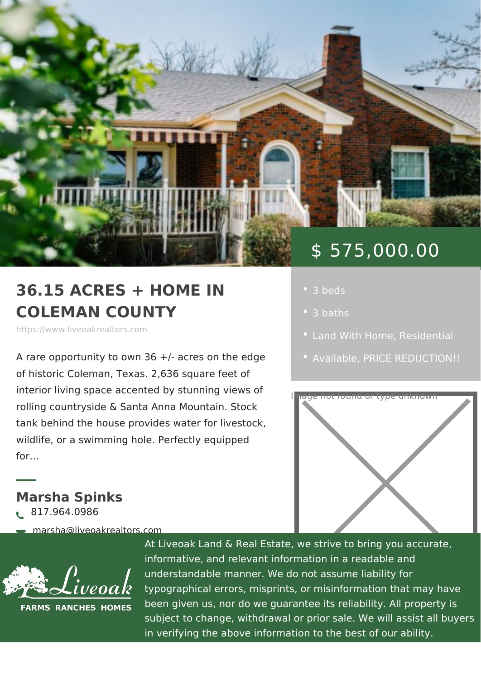# \$ 575,000.00

## 36.15 ACRES + HOME IN COLEMAN COUNTY

https://www.liveoakrealtors.com

A rare opportunity to own 36 +/- acres  $\phi$  . Available RICE REDUCTIC of historic Coleman, Texas. 2,636 squal

interior living space accented by stunning views rolling countryside & Santa Anna Mountain Stock tank behind the house provides water for livestock, wildlife, or a swimming hole. Perfectly equipped for &

Marsha Spinks ð• 817.964.0986

ðà marsha@liveoakrealtors.com

- 3 baths
- [Land With H](https://www.liveoakrealtors.com/es_category/land-with-home/)o R me sidential
- 



At Liveoak Land & Real Estate, we strive to brin informative, and relevant information in a reada understandable manner. We do not assume liabil typographical errors, misprints, or misinformatic been given us, nor do we guarantee its reliabilit subject to change, withdrawal or prior sale. We in verifying the above information to the best of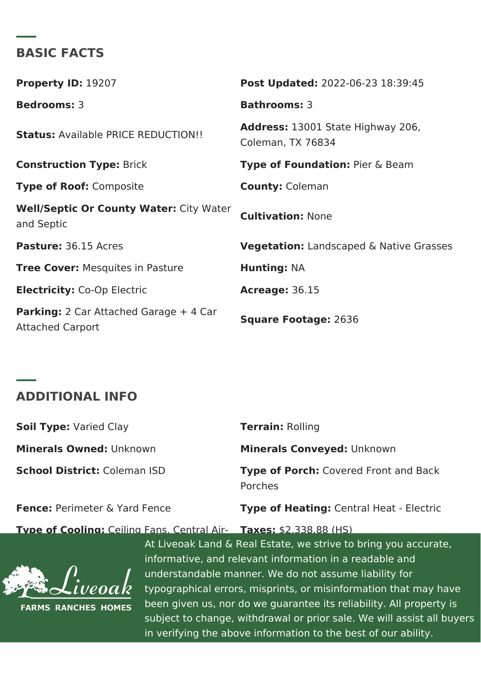#### BASIC FACTS

Property ID: 9207 Post Update 022-06-23 18:39:45 Bedrooms3 Bathrooms3 Statu[s:Availa](https://www.liveoakrealtors.com/es_status/available/)ble [PRICE REDUC](https://www.liveoakrealtors.com/es_status/price-reduction/)TION!! Address: 13001 State Highway 206, Coleman, TX 76834 Construction TyBeick Type of Foundatible r & Beam Type of Roodomposite County Coleman Well/Septic Or County W@itteyr:Water<br>CultivationN.one and Septic Pasture36.15 Acres VegetationLandscaped & Native Grasses Tree CoveMesquites in Pasture HuntingNA  $Electri cit  $\mathbb{C}$ :  $o$  -  $Op$  Electric  $A$ creage  $36.15$$ Parking2 Car Attached Garage + 4 Car<br>Square Footag2e636 Attached Carport

#### ADDITIONAL INFO

| Soil Type <i>Caried</i> Clay | TerrainRolling                                |
|------------------------------|-----------------------------------------------|
| Minerals Owneldnknown        | Minerals Convey bon: known                    |
| School Districtaleman ISD    | Type of PorcChovered Front and Bac<br>Porches |
| Fence Perimeter & Yard Fence | Type of HeatinCoentral Heat – Electr          |

### <u>Type of CoolinComiling Fans, Centr</u>Taal Airst 2,338.88 (HS)

understandable manner. We do not assume liability for Garage and American and American control of Garage and M At Liveoak Land & Real Estate, we strive to brin informative, and relevant information in a reada typographical errors, misprints, or misinformatic been given us, nor do we guarantee its reliabilit subject to change, withdrawal or prior sale. We in verifying the above information to the best of